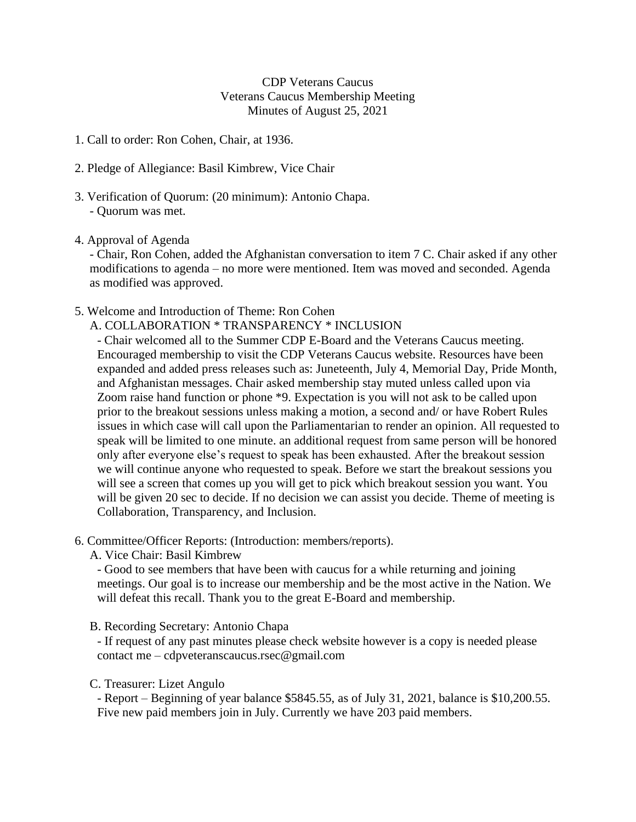CDP Veterans Caucus Veterans Caucus Membership Meeting Minutes of August 25, 2021

- 1. Call to order: Ron Cohen, Chair, at 1936.
- 2. Pledge of Allegiance: Basil Kimbrew, Vice Chair
- 3. Verification of Quorum: (20 minimum): Antonio Chapa. - Quorum was met.
- 4. Approval of Agenda

- Chair, Ron Cohen, added the Afghanistan conversation to item 7 C. Chair asked if any other modifications to agenda – no more were mentioned. Item was moved and seconded. Agenda as modified was approved.

- 5. Welcome and Introduction of Theme: Ron Cohen
	- A. COLLABORATION \* TRANSPARENCY \* INCLUSION

- Chair welcomed all to the Summer CDP E-Board and the Veterans Caucus meeting. Encouraged membership to visit the CDP Veterans Caucus website. Resources have been expanded and added press releases such as: Juneteenth, July 4, Memorial Day, Pride Month, and Afghanistan messages. Chair asked membership stay muted unless called upon via Zoom raise hand function or phone \*9. Expectation is you will not ask to be called upon prior to the breakout sessions unless making a motion, a second and/ or have Robert Rules issues in which case will call upon the Parliamentarian to render an opinion. All requested to speak will be limited to one minute. an additional request from same person will be honored only after everyone else's request to speak has been exhausted. After the breakout session we will continue anyone who requested to speak. Before we start the breakout sessions you will see a screen that comes up you will get to pick which breakout session you want. You will be given 20 sec to decide. If no decision we can assist you decide. Theme of meeting is Collaboration, Transparency, and Inclusion.

- 6. Committee/Officer Reports: (Introduction: members/reports).
	- A. Vice Chair: Basil Kimbrew

- Good to see members that have been with caucus for a while returning and joining meetings. Our goal is to increase our membership and be the most active in the Nation. We will defeat this recall. Thank you to the great E-Board and membership.

B. Recording Secretary: Antonio Chapa

- If request of any past minutes please check website however is a copy is needed please contact me – cdpveteranscaucus.rsec@gmail.com

C. Treasurer: Lizet Angulo

- Report – Beginning of year balance \$5845.55, as of July 31, 2021, balance is \$10,200.55. Five new paid members join in July. Currently we have 203 paid members.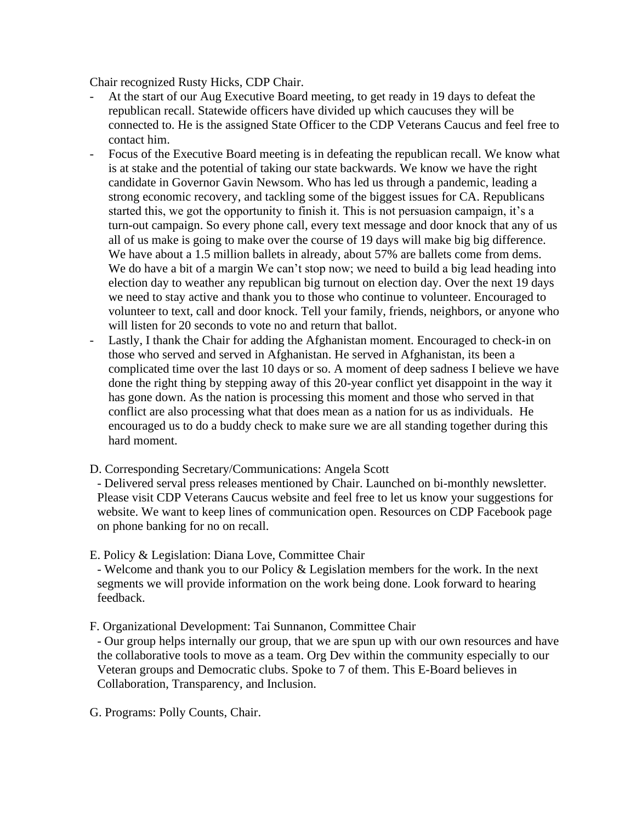Chair recognized Rusty Hicks, CDP Chair.

- At the start of our Aug Executive Board meeting, to get ready in 19 days to defeat the republican recall. Statewide officers have divided up which caucuses they will be connected to. He is the assigned State Officer to the CDP Veterans Caucus and feel free to contact him.
- Focus of the Executive Board meeting is in defeating the republican recall. We know what is at stake and the potential of taking our state backwards. We know we have the right candidate in Governor Gavin Newsom. Who has led us through a pandemic, leading a strong economic recovery, and tackling some of the biggest issues for CA. Republicans started this, we got the opportunity to finish it. This is not persuasion campaign, it's a turn-out campaign. So every phone call, every text message and door knock that any of us all of us make is going to make over the course of 19 days will make big big difference. We have about a 1.5 million ballets in already, about 57% are ballets come from dems. We do have a bit of a margin We can't stop now; we need to build a big lead heading into election day to weather any republican big turnout on election day. Over the next 19 days we need to stay active and thank you to those who continue to volunteer. Encouraged to volunteer to text, call and door knock. Tell your family, friends, neighbors, or anyone who will listen for 20 seconds to vote no and return that ballot.
- Lastly, I thank the Chair for adding the Afghanistan moment. Encouraged to check-in on those who served and served in Afghanistan. He served in Afghanistan, its been a complicated time over the last 10 days or so. A moment of deep sadness I believe we have done the right thing by stepping away of this 20-year conflict yet disappoint in the way it has gone down. As the nation is processing this moment and those who served in that conflict are also processing what that does mean as a nation for us as individuals. He encouraged us to do a buddy check to make sure we are all standing together during this hard moment.
- D. Corresponding Secretary/Communications: Angela Scott

- Delivered serval press releases mentioned by Chair. Launched on bi-monthly newsletter. Please visit CDP Veterans Caucus website and feel free to let us know your suggestions for website. We want to keep lines of communication open. Resources on CDP Facebook page on phone banking for no on recall.

E. Policy & Legislation: Diana Love, Committee Chair

- Welcome and thank you to our Policy & Legislation members for the work. In the next segments we will provide information on the work being done. Look forward to hearing feedback.

F. Organizational Development: Tai Sunnanon, Committee Chair

- Our group helps internally our group, that we are spun up with our own resources and have the collaborative tools to move as a team. Org Dev within the community especially to our Veteran groups and Democratic clubs. Spoke to 7 of them. This E-Board believes in Collaboration, Transparency, and Inclusion.

G. Programs: Polly Counts, Chair.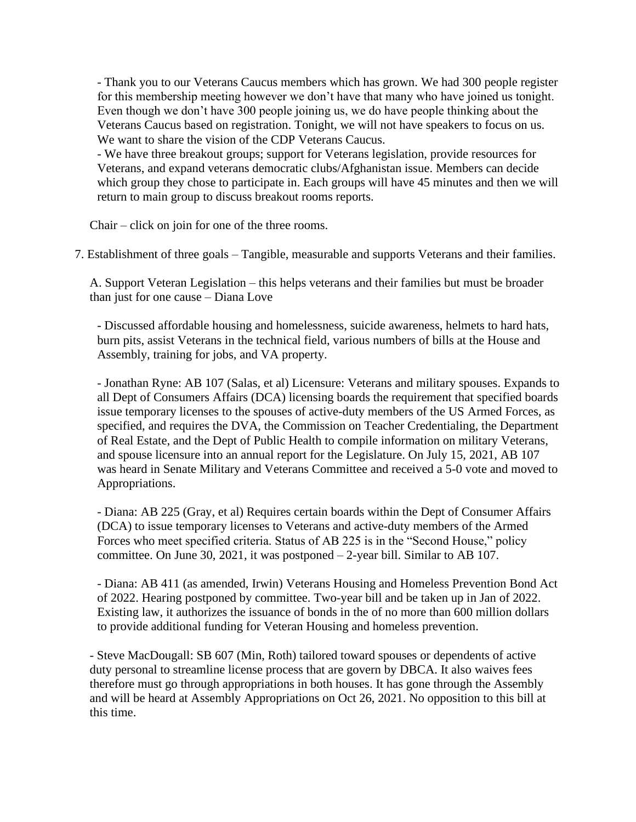- Thank you to our Veterans Caucus members which has grown. We had 300 people register for this membership meeting however we don't have that many who have joined us tonight. Even though we don't have 300 people joining us, we do have people thinking about the Veterans Caucus based on registration. Tonight, we will not have speakers to focus on us. We want to share the vision of the CDP Veterans Caucus.

- We have three breakout groups; support for Veterans legislation, provide resources for Veterans, and expand veterans democratic clubs/Afghanistan issue. Members can decide which group they chose to participate in. Each groups will have 45 minutes and then we will return to main group to discuss breakout rooms reports.

Chair – click on join for one of the three rooms.

7. Establishment of three goals – Tangible, measurable and supports Veterans and their families.

A. Support Veteran Legislation – this helps veterans and their families but must be broader than just for one cause – Diana Love

- Discussed affordable housing and homelessness, suicide awareness, helmets to hard hats, burn pits, assist Veterans in the technical field, various numbers of bills at the House and Assembly, training for jobs, and VA property.

- Jonathan Ryne: AB 107 (Salas, et al) Licensure: Veterans and military spouses. Expands to all Dept of Consumers Affairs (DCA) licensing boards the requirement that specified boards issue temporary licenses to the spouses of active-duty members of the US Armed Forces, as specified, and requires the DVA, the Commission on Teacher Credentialing, the Department of Real Estate, and the Dept of Public Health to compile information on military Veterans, and spouse licensure into an annual report for the Legislature. On July 15, 2021, AB 107 was heard in Senate Military and Veterans Committee and received a 5-0 vote and moved to Appropriations.

- Diana: AB 225 (Gray, et al) Requires certain boards within the Dept of Consumer Affairs (DCA) to issue temporary licenses to Veterans and active-duty members of the Armed Forces who meet specified criteria. Status of AB 225 is in the "Second House," policy committee. On June 30, 2021, it was postponed  $-2$ -year bill. Similar to AB 107.

- Diana: AB 411 (as amended, Irwin) Veterans Housing and Homeless Prevention Bond Act of 2022. Hearing postponed by committee. Two-year bill and be taken up in Jan of 2022. Existing law, it authorizes the issuance of bonds in the of no more than 600 million dollars to provide additional funding for Veteran Housing and homeless prevention.

- Steve MacDougall: SB 607 (Min, Roth) tailored toward spouses or dependents of active duty personal to streamline license process that are govern by DBCA. It also waives fees therefore must go through appropriations in both houses. It has gone through the Assembly and will be heard at Assembly Appropriations on Oct 26, 2021. No opposition to this bill at this time.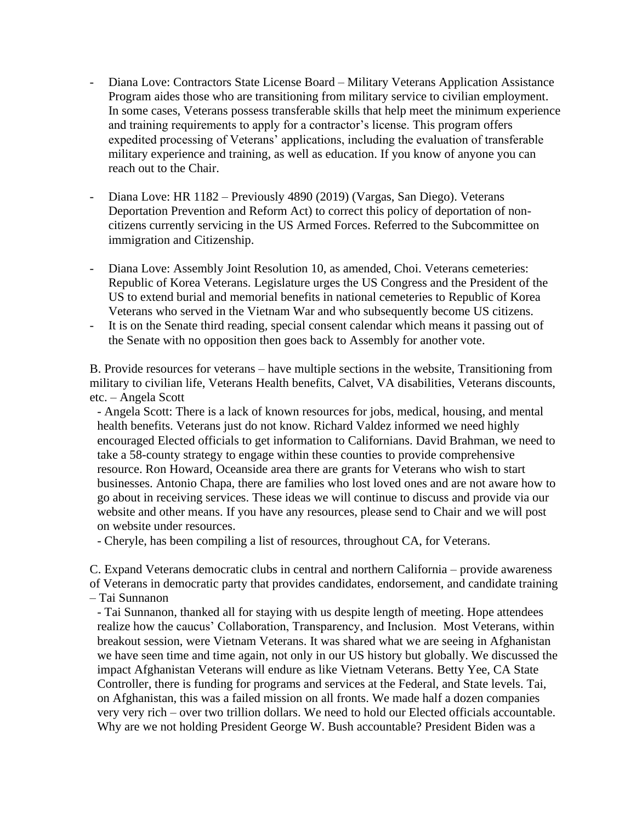- Diana Love: Contractors State License Board Military Veterans Application Assistance Program aides those who are transitioning from military service to civilian employment. In some cases, Veterans possess transferable skills that help meet the minimum experience and training requirements to apply for a contractor's license. This program offers expedited processing of Veterans' applications, including the evaluation of transferable military experience and training, as well as education. If you know of anyone you can reach out to the Chair.
- Diana Love: HR 1182 Previously 4890 (2019) (Vargas, San Diego). Veterans Deportation Prevention and Reform Act) to correct this policy of deportation of noncitizens currently servicing in the US Armed Forces. Referred to the Subcommittee on immigration and Citizenship.
- Diana Love: Assembly Joint Resolution 10, as amended, Choi. Veterans cemeteries: Republic of Korea Veterans. Legislature urges the US Congress and the President of the US to extend burial and memorial benefits in national cemeteries to Republic of Korea Veterans who served in the Vietnam War and who subsequently become US citizens.
- It is on the Senate third reading, special consent calendar which means it passing out of the Senate with no opposition then goes back to Assembly for another vote.

B. Provide resources for veterans – have multiple sections in the website, Transitioning from military to civilian life, Veterans Health benefits, Calvet, VA disabilities, Veterans discounts, etc. – Angela Scott

- Angela Scott: There is a lack of known resources for jobs, medical, housing, and mental health benefits. Veterans just do not know. Richard Valdez informed we need highly encouraged Elected officials to get information to Californians. David Brahman, we need to take a 58-county strategy to engage within these counties to provide comprehensive resource. Ron Howard, Oceanside area there are grants for Veterans who wish to start businesses. Antonio Chapa, there are families who lost loved ones and are not aware how to go about in receiving services. These ideas we will continue to discuss and provide via our website and other means. If you have any resources, please send to Chair and we will post on website under resources.

- Cheryle, has been compiling a list of resources, throughout CA, for Veterans.

C. Expand Veterans democratic clubs in central and northern California – provide awareness of Veterans in democratic party that provides candidates, endorsement, and candidate training – Tai Sunnanon

- Tai Sunnanon, thanked all for staying with us despite length of meeting. Hope attendees realize how the caucus' Collaboration, Transparency, and Inclusion. Most Veterans, within breakout session, were Vietnam Veterans. It was shared what we are seeing in Afghanistan we have seen time and time again, not only in our US history but globally. We discussed the impact Afghanistan Veterans will endure as like Vietnam Veterans. Betty Yee, CA State Controller, there is funding for programs and services at the Federal, and State levels. Tai, on Afghanistan, this was a failed mission on all fronts. We made half a dozen companies very very rich – over two trillion dollars. We need to hold our Elected officials accountable. Why are we not holding President George W. Bush accountable? President Biden was a